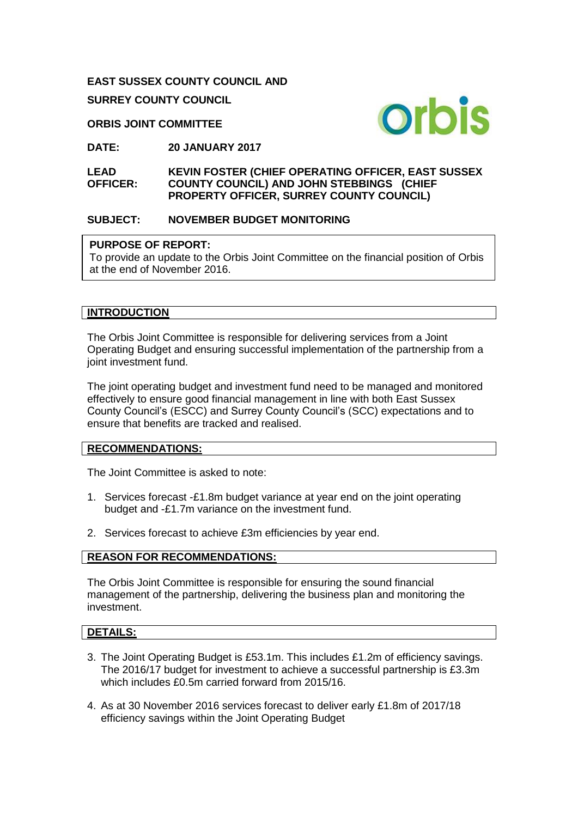#### **EAST SUSSEX COUNTY COUNCIL AND**

**SURREY COUNTY COUNCIL**

#### **ORBIS JOINT COMMITTEE**



**DATE: 20 JANUARY 2017**

**LEAD OFFICER: KEVIN FOSTER (CHIEF OPERATING OFFICER, EAST SUSSEX COUNTY COUNCIL) AND JOHN STEBBINGS (CHIEF PROPERTY OFFICER, SURREY COUNTY COUNCIL)** 

## **SUBJECT: NOVEMBER BUDGET MONITORING**

## **PURPOSE OF REPORT:**

To provide an update to the Orbis Joint Committee on the financial position of Orbis at the end of November 2016.

## **INTRODUCTION**

The Orbis Joint Committee is responsible for delivering services from a Joint Operating Budget and ensuring successful implementation of the partnership from a joint investment fund.

The joint operating budget and investment fund need to be managed and monitored effectively to ensure good financial management in line with both East Sussex County Council's (ESCC) and Surrey County Council's (SCC) expectations and to ensure that benefits are tracked and realised.

#### **RECOMMENDATIONS:**

The Joint Committee is asked to note:

- 1. Services forecast -£1.8m budget variance at year end on the joint operating budget and -£1.7m variance on the investment fund.
- 2. Services forecast to achieve £3m efficiencies by year end.

## **REASON FOR RECOMMENDATIONS:**

The Orbis Joint Committee is responsible for ensuring the sound financial management of the partnership, delivering the business plan and monitoring the investment.

## **DETAILS:**

- 3. The Joint Operating Budget is £53.1m. This includes £1.2m of efficiency savings. The 2016/17 budget for investment to achieve a successful partnership is £3.3m which includes £0.5m carried forward from 2015/16.
- 4. As at 30 November 2016 services forecast to deliver early £1.8m of 2017/18 efficiency savings within the Joint Operating Budget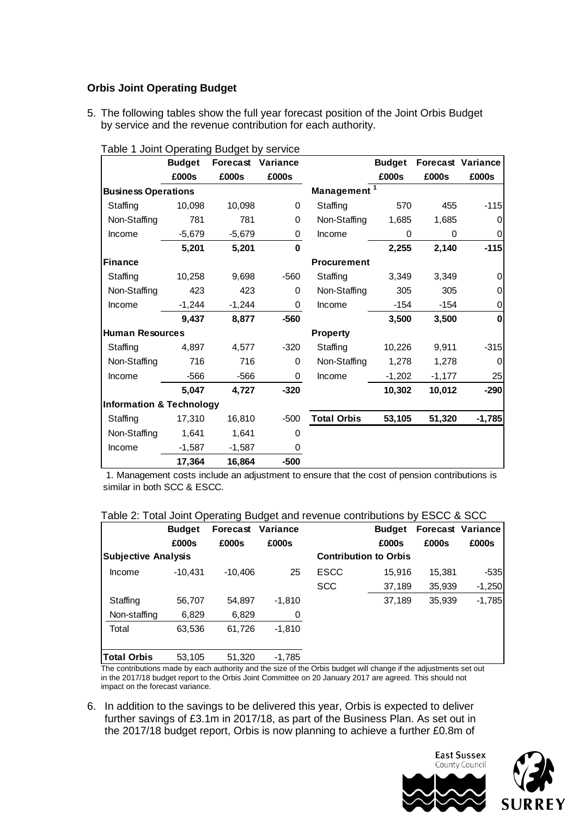## **Orbis Joint Operating Budget**

5. The following tables show the full year forecast position of the Joint Orbis Budget by service and the revenue contribution for each authority.

|                                     | <b>Budget</b> | <b>Forecast Variance</b> |          |                         | <b>Budget</b> |          | <b>Forecast Variance</b> |
|-------------------------------------|---------------|--------------------------|----------|-------------------------|---------------|----------|--------------------------|
|                                     | £000s         | £000s                    | £000s    |                         | £000s         | £000s    | £000s                    |
| <b>Business Operations</b>          |               |                          |          | Management <sup>1</sup> |               |          |                          |
| Staffing                            | 10,098        | 10,098                   | $\Omega$ | Staffing                | 570           | 455      | $-115$                   |
| Non-Staffing                        | 781           | 781                      | 0        | Non-Staffing            | 1,685         | 1,685    | 0                        |
| Income                              | $-5,679$      | $-5,679$                 | 0        | Income                  | 0             | 0        | 0                        |
|                                     | 5,201         | 5,201                    | 0        |                         | 2,255         | 2,140    | $-115$                   |
| <b>Finance</b>                      |               |                          |          | <b>Procurement</b>      |               |          |                          |
| Staffing                            | 10,258        | 9,698                    | $-560$   | Staffing                | 3,349         | 3,349    | $\Omega$                 |
| Non-Staffing                        | 423           | 423                      | 0        | Non-Staffing            | 305           | 305      | 0                        |
| Income                              | $-1,244$      | $-1,244$                 | 0        | <b>Income</b>           | $-154$        | $-154$   | 0                        |
|                                     | 9,437         | 8,877                    | $-560$   |                         | 3,500         | 3,500    | 0                        |
| <b>Human Resources</b>              |               |                          |          | <b>Property</b>         |               |          |                          |
| Staffing                            | 4,897         | 4,577                    | $-320$   | Staffing                | 10,226        | 9,911    | $-315$                   |
| Non-Staffing                        | 716           | 716                      | 0        | Non-Staffing            | 1,278         | 1,278    | 0                        |
| Income                              | $-566$        | $-566$                   | 0        | Income                  | $-1,202$      | $-1,177$ | 25                       |
|                                     | 5,047         | 4,727                    | $-320$   |                         | 10,302        | 10,012   | $-290$                   |
| <b>Information &amp; Technology</b> |               |                          |          |                         |               |          |                          |
| Staffing                            | 17,310        | 16,810                   | $-500$   | <b>Total Orbis</b>      | 53,105        | 51,320   | $-1,785$                 |
| Non-Staffing                        | 1,641         | 1,641                    | 0        |                         |               |          |                          |
| Income                              | $-1,587$      | $-1,587$                 | 0        |                         |               |          |                          |
|                                     | 17.364        | 16,864                   | $-500$   |                         |               |          |                          |

| Table 1 Joint Operating Budget by service |  |  |  |  |  |
|-------------------------------------------|--|--|--|--|--|
|-------------------------------------------|--|--|--|--|--|

 1. Management costs include an adjustment to ensure that the cost of pension contributions is similar in both SCC & ESCC.

#### Table 2: Total Joint Operating Budget and revenue contributions by ESCC & SCC

|                            | <b>Budget</b> | Forecast  | Variance |                              | <b>Budget</b> |        | <b>Forecast Variance</b> |
|----------------------------|---------------|-----------|----------|------------------------------|---------------|--------|--------------------------|
|                            | £000s         | £000s     | £000s    |                              | £000s         | £000s  | £000s                    |
| <b>Subjective Analysis</b> |               |           |          | <b>Contribution to Orbis</b> |               |        |                          |
| Income                     | $-10.431$     | $-10.406$ | 25       | <b>ESCC</b>                  | 15.916        | 15.381 | $-535$                   |
|                            |               |           |          | <b>SCC</b>                   | 37,189        | 35,939 | $-1,250$                 |
| Staffing                   | 56,707        | 54.897    | $-1,810$ |                              | 37,189        | 35,939 | $-1,785$                 |
| Non-staffing               | 6,829         | 6,829     | 0        |                              |               |        |                          |
| Total                      | 63,536        | 61,726    | $-1,810$ |                              |               |        |                          |
|                            |               |           |          |                              |               |        |                          |
| Total Orbis                | 53,105        | 51,320    | $-1,785$ |                              |               |        |                          |

The contributions made by each authority and the size of the Orbis budget will change if the adjustments set out in the 2017/18 budget report to the Orbis Joint Committee on 20 January 2017 are agreed. This should not impact on the forecast variance.

6. In addition to the savings to be delivered this year, Orbis is expected to deliver further savings of £3.1m in 2017/18, as part of the Business Plan. As set out in the 2017/18 budget report, Orbis is now planning to achieve a further £0.8m of



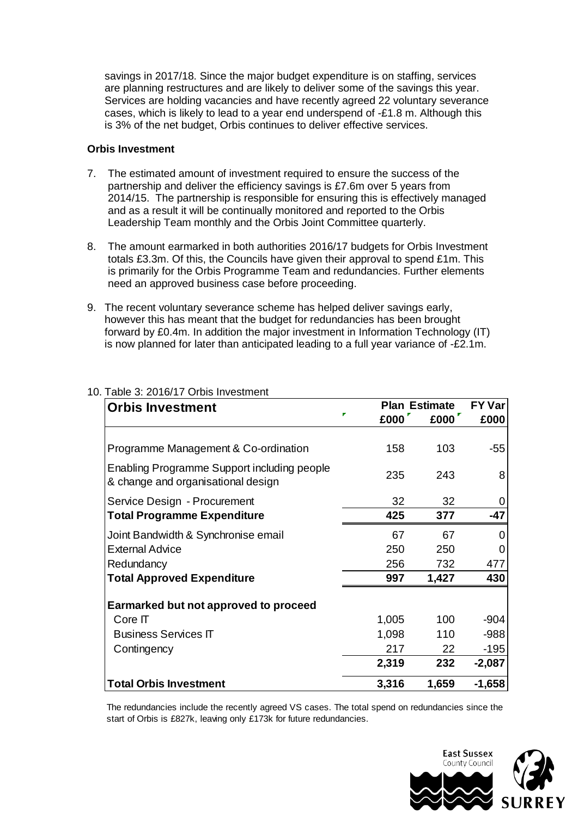savings in 2017/18. Since the major budget expenditure is on staffing, services are planning restructures and are likely to deliver some of the savings this year. Services are holding vacancies and have recently agreed 22 voluntary severance cases, which is likely to lead to a year end underspend of -£1.8 m. Although this is 3% of the net budget, Orbis continues to deliver effective services.

#### **Orbis Investment**

- 7. The estimated amount of investment required to ensure the success of the partnership and deliver the efficiency savings is £7.6m over 5 years from 2014/15. The partnership is responsible for ensuring this is effectively managed and as a result it will be continually monitored and reported to the Orbis Leadership Team monthly and the Orbis Joint Committee quarterly.
- 8. The amount earmarked in both authorities 2016/17 budgets for Orbis Investment totals £3.3m. Of this, the Councils have given their approval to spend £1m. This is primarily for the Orbis Programme Team and redundancies. Further elements need an approved business case before proceeding.
- 9. The recent voluntary severance scheme has helped deliver savings early, however this has meant that the budget for redundancies has been brought forward by £0.4m. In addition the major investment in Information Technology (IT) is now planned for later than anticipated leading to a full year variance of -£2.1m.

| <b>Orbis Investment</b>                                                           | <b>Plan Estimate</b> | <b>FY Var</b> |          |
|-----------------------------------------------------------------------------------|----------------------|---------------|----------|
|                                                                                   | £000                 | £000          | £000     |
|                                                                                   |                      |               |          |
| Programme Management & Co-ordination                                              | 158                  | 103           | -55      |
| Enabling Programme Support including people<br>& change and organisational design | 235                  | 243           | 8        |
| Service Design - Procurement                                                      | 32                   | 32            | 0        |
| <b>Total Programme Expenditure</b>                                                | 425                  | 377           | $-47$    |
| Joint Bandwidth & Synchronise email                                               | 67                   | 67            | 0        |
| <b>External Advice</b>                                                            | 250                  | 250           | 0        |
| Redundancy                                                                        | 256                  | 732           | 477      |
| <b>Total Approved Expenditure</b>                                                 | 997                  | 1,427         | 430      |
| Earmarked but not approved to proceed                                             |                      |               |          |
| Core IT                                                                           | 1,005                | 100           | $-904$   |
| <b>Business Services IT</b>                                                       | 1,098                | 110           | $-988$   |
| Contingency                                                                       | 217                  | 22            | $-195$   |
|                                                                                   | 2,319                | 232           | $-2,087$ |
| <b>Total Orbis Investment</b>                                                     | 3,316                | 1,659         | $-1,658$ |

## 10. Table 3: 2016/17 Orbis Investment

The redundancies include the recently agreed VS cases. The total spend on redundancies since the start of Orbis is £827k, leaving only £173k for future redundancies.

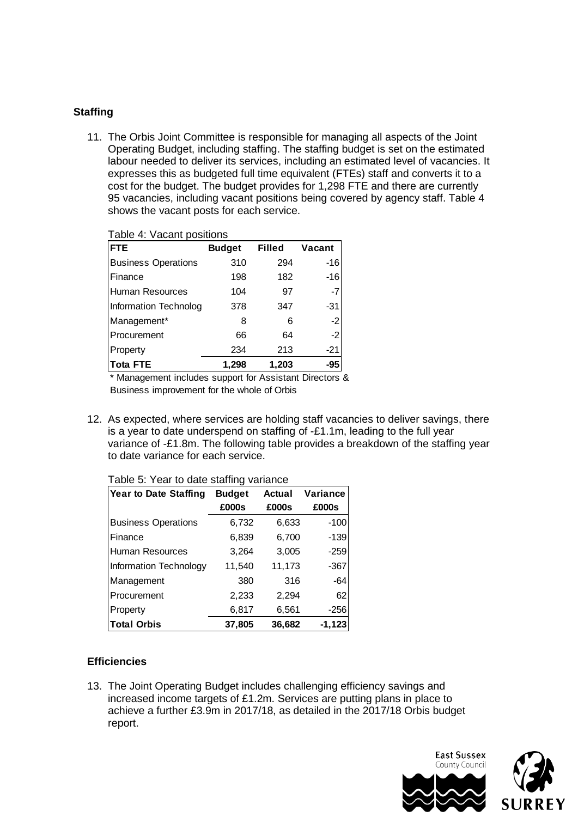## **Staffing**

11. The Orbis Joint Committee is responsible for managing all aspects of the Joint Operating Budget, including staffing. The staffing budget is set on the estimated labour needed to deliver its services, including an estimated level of vacancies. It expresses this as budgeted full time equivalent (FTEs) staff and converts it to a cost for the budget. The budget provides for 1,298 FTE and there are currently 95 vacancies, including vacant positions being covered by agency staff. Table 4 shows the vacant posts for each service.

| Table 4: Vacant positions  |               |               |        |  |  |  |  |
|----------------------------|---------------|---------------|--------|--|--|--|--|
| <b>FTE</b>                 | <b>Budget</b> | <b>Filled</b> | Vacant |  |  |  |  |
| <b>Business Operations</b> | 310           | 294           | $-16$  |  |  |  |  |
| l Finance                  | 198           | 182           | $-16$  |  |  |  |  |
| Human Resources            | 104           | 97            | $-7$   |  |  |  |  |
| Information Technolog      | 378           | 347           | $-31$  |  |  |  |  |
| Management*                | 8             | 6             | $-2$   |  |  |  |  |
| l Procurement              | 66            | 64            | $-2$   |  |  |  |  |
| Property                   | 234           | 213           | $-21$  |  |  |  |  |
| Tota FTE                   | 1,298         | 1,203         | -95    |  |  |  |  |

 $\tau$  able 4: *Vacant* positions

\* Management includes support for Assistant Directors & Business improvement for the whole of Orbis

12. As expected, where services are holding staff vacancies to deliver savings, there is a year to date underspend on staffing of -£1.1m, leading to the full year variance of -£1.8m. The following table provides a breakdown of the staffing year to date variance for each service.

| Year to Date Staffing      | <b>Budget</b> | Actual | Variance |  |
|----------------------------|---------------|--------|----------|--|
|                            | £000s         | £000s  | £000s    |  |
| <b>Business Operations</b> | 6,732         | 6,633  | $-100$   |  |
| l Finance                  | 6,839         | 6,700  | $-139$   |  |
| Human Resources            | 3,264         | 3,005  | $-259$   |  |
| Information Technology     | 11,540        | 11,173 | $-367$   |  |
| Management                 | 380           | 316    | -64      |  |
| Procurement                | 2,233         | 2,294  | 62       |  |
| Property                   | 6,817         | 6,561  | $-256$   |  |
| <b>Total Orbis</b>         | 37,805        | 36,682 | $-1,123$ |  |

# Table 5: Year to date staffing variance

#### **Efficiencies**

13. The Joint Operating Budget includes challenging efficiency savings and increased income targets of £1.2m. Services are putting plans in place to achieve a further £3.9m in 2017/18, as detailed in the 2017/18 Orbis budget report.